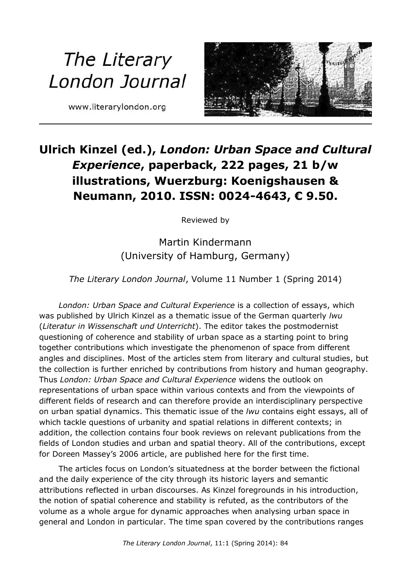## The Literary London Journal

www.literarylondon.org



## **Ulrich Kinzel (ed.),** *London: Urban Space and Cultural Experience***, paperback, 222 pages, 21 b/w illustrations, Wuerzburg: Koenigshausen & Neumann, 2010. ISSN: 0024-4643, € 9.50.**

Reviewed by

Martin Kindermann (University of Hamburg, Germany)

*The Literary London Journal*, Volume 11 Number 1 (Spring 2014)

*London: Urban Space and Cultural Experience* is a collection of essays, which was published by Ulrich Kinzel as a thematic issue of the German quarterly *lwu* (*Literatur in Wissenschaft und Unterricht*). The editor takes the postmodernist questioning of coherence and stability of urban space as a starting point to bring together contributions which investigate the phenomenon of space from different angles and disciplines. Most of the articles stem from literary and cultural studies, but the collection is further enriched by contributions from history and human geography. Thus *London: Urban Space and Cultural Experience* widens the outlook on representations of urban space within various contexts and from the viewpoints of different fields of research and can therefore provide an interdisciplinary perspective on urban spatial dynamics. This thematic issue of the *lwu* contains eight essays, all of which tackle questions of urbanity and spatial relations in different contexts; in addition, the collection contains four book reviews on relevant publications from the fields of London studies and urban and spatial theory. All of the contributions, except for Doreen Massey's 2006 article, are published here for the first time.

The articles focus on London's situatedness at the border between the fictional and the daily experience of the city through its historic layers and semantic attributions reflected in urban discourses. As Kinzel foregrounds in his introduction, the notion of spatial coherence and stability is refuted, as the contributors of the volume as a whole argue for dynamic approaches when analysing urban space in general and London in particular. The time span covered by the contributions ranges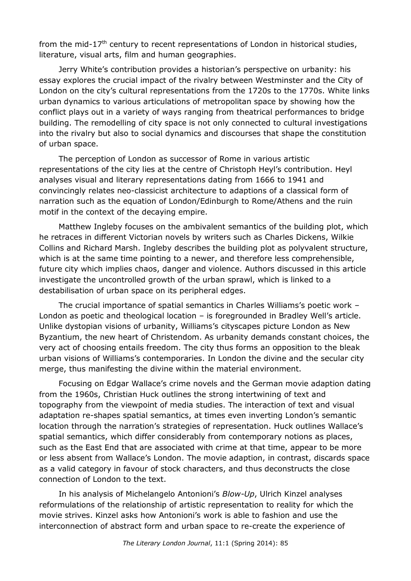from the mid-17<sup>th</sup> century to recent representations of London in historical studies, literature, visual arts, film and human geographies.

Jerry White's contribution provides a historian's perspective on urbanity: his essay explores the crucial impact of the rivalry between Westminster and the City of London on the city's cultural representations from the 1720s to the 1770s. White links urban dynamics to various articulations of metropolitan space by showing how the conflict plays out in a variety of ways ranging from theatrical performances to bridge building. The remodelling of city space is not only connected to cultural investigations into the rivalry but also to social dynamics and discourses that shape the constitution of urban space.

The perception of London as successor of Rome in various artistic representations of the city lies at the centre of Christoph Heyl's contribution. Heyl analyses visual and literary representations dating from 1666 to 1941 and convincingly relates neo-classicist architecture to adaptions of a classical form of narration such as the equation of London/Edinburgh to Rome/Athens and the ruin motif in the context of the decaying empire.

Matthew Ingleby focuses on the ambivalent semantics of the building plot, which he retraces in different Victorian novels by writers such as Charles Dickens, Wilkie Collins and Richard Marsh. Ingleby describes the building plot as polyvalent structure, which is at the same time pointing to a newer, and therefore less comprehensible, future city which implies chaos, danger and violence. Authors discussed in this article investigate the uncontrolled growth of the urban sprawl, which is linked to a destabilisation of urban space on its peripheral edges.

The crucial importance of spatial semantics in Charles Williams's poetic work – London as poetic and theological location – is foregrounded in Bradley Well's article. Unlike dystopian visions of urbanity, Williams's cityscapes picture London as New Byzantium, the new heart of Christendom. As urbanity demands constant choices, the very act of choosing entails freedom. The city thus forms an opposition to the bleak urban visions of Williams's contemporaries. In London the divine and the secular city merge, thus manifesting the divine within the material environment.

Focusing on Edgar Wallace's crime novels and the German movie adaption dating from the 1960s, Christian Huck outlines the strong intertwining of text and topography from the viewpoint of media studies. The interaction of text and visual adaptation re-shapes spatial semantics, at times even inverting London's semantic location through the narration's strategies of representation. Huck outlines Wallace's spatial semantics, which differ considerably from contemporary notions as places, such as the East End that are associated with crime at that time, appear to be more or less absent from Wallace's London. The movie adaption, in contrast, discards space as a valid category in favour of stock characters, and thus deconstructs the close connection of London to the text.

In his analysis of Michelangelo Antonioni's *Blow-Up*, Ulrich Kinzel analyses reformulations of the relationship of artistic representation to reality for which the movie strives. Kinzel asks how Antonioni's work is able to fashion and use the interconnection of abstract form and urban space to re-create the experience of